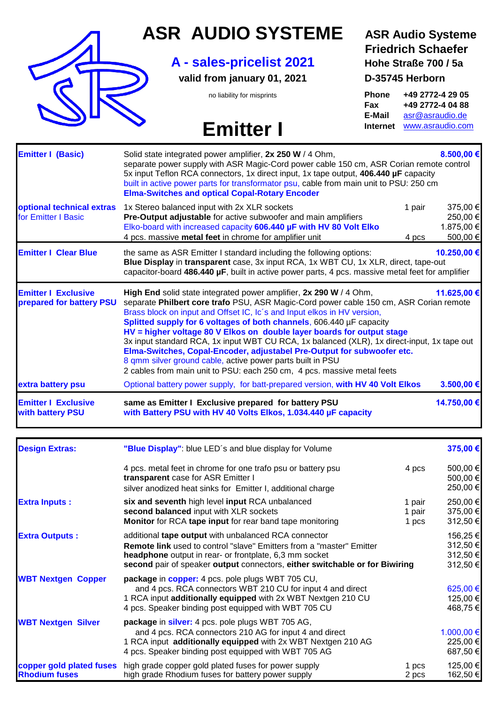

### **ASR AUDIO SYSTEME ASR Audio Systeme**

### **A - sales-pricelist 2021 Hohe Straße 700 / 5a**

**valid from january 01, 2021 D-35745 Herborn**

## **Emitter I Internet WWW.asraudio.com**

# **Friedrich Schaefer**

no liability for misprints **Phone +49 2772-4 29 05 Fax +49 2772-4 04 88 E-Mail** [asr@asraudio.de](mailto:asr@asraudio.de)

|                                                        | the same as ASR Emitter I standard including the following options:<br>Blue Display in transparent case, 3x input RCA, 1x WBT CU, 1x XLR, direct, tape-out<br>capacitor-board 486.440 µF, built in active power parts, 4 pcs. massive metal feet for amplifier                                                                                                                                                                                                                                                                                                                                                                                                                                              | 10.250,00 € |
|--------------------------------------------------------|-------------------------------------------------------------------------------------------------------------------------------------------------------------------------------------------------------------------------------------------------------------------------------------------------------------------------------------------------------------------------------------------------------------------------------------------------------------------------------------------------------------------------------------------------------------------------------------------------------------------------------------------------------------------------------------------------------------|-------------|
| <b>Emitter I Exclusive</b><br>prepared for battery PSU | High End solid state integrated power amplifier, 2x 290 W / 4 Ohm,<br>separate Philbert core trafo PSU, ASR Magic-Cord power cable 150 cm, ASR Corian remote<br>Brass block on input and Offset IC, Ic's and Input elkos in HV version,<br>Splitted supply for 6 voltages of both channels, 606.440 µF capacity<br>HV = higher voltage 80 V Elkos on double layer boards for output stage<br>3x input standard RCA, 1x input WBT CU RCA, 1x balanced (XLR), 1x direct-input, 1x tape out<br>Elma-Switches, Copal-Encoder, adjustabel Pre-Output for subwoofer etc.<br>8 qmm silver ground cable, active power parts built in PSU<br>2 cables from main unit to PSU: each 250 cm, 4 pcs. massive metal feets | 11.625,00 € |
| extra battery psu                                      | Optional battery power supply, for batt-prepared version, with HV 40 Volt Elkos                                                                                                                                                                                                                                                                                                                                                                                                                                                                                                                                                                                                                             | 3.500,00 €  |

| <b>Design Extras:</b>                            | "Blue Display": blue LED's and blue display for Volume                                                                                                                                                                                                                       |                           | 375,00 €                                     |
|--------------------------------------------------|------------------------------------------------------------------------------------------------------------------------------------------------------------------------------------------------------------------------------------------------------------------------------|---------------------------|----------------------------------------------|
|                                                  | 4 pcs. metal feet in chrome for one trafo psu or battery psu<br>transparent case for ASR Emitter I<br>silver anodized heat sinks for Emitter I, additional charge                                                                                                            | 4 pcs                     | 500,00 €<br>500,00 €<br>250,00 €             |
| <b>Extra Inputs:</b>                             | six and seventh high level input RCA unbalanced<br>second balanced input with XLR sockets<br>Monitor for RCA tape input for rear band tape monitoring                                                                                                                        | 1 pair<br>1 pair<br>1 pcs | 250,00 €<br>375,00 €<br>312,50 €             |
| <b>Extra Outputs:</b>                            | additional tape output with unbalanced RCA connector<br><b>Remote link</b> used to control "slave" Emitters from a "master" Emitter<br>headphone output in rear- or frontplate, 6,3 mm socket<br>second pair of speaker output connectors, either switchable or for Biwiring |                           | 156,25 €<br>312,50 €<br>312,50 €<br>312,50 € |
| <b>WBT Nextgen Copper</b>                        | package in copper: 4 pcs. pole plugs WBT 705 CU,<br>and 4 pcs. RCA connectors WBT 210 CU for input 4 and direct<br>1 RCA input additionally equipped with 2x WBT Nextgen 210 CU<br>4 pcs. Speaker binding post equipped with WBT 705 CU                                      |                           | 625,00 €<br>125,00 €<br>468,75 €             |
| <b>WBT Nextgen Silver</b>                        | package in silver: 4 pcs. pole plugs WBT 705 AG,<br>and 4 pcs. RCA connectors 210 AG for input 4 and direct<br>1 RCA input additionally equipped with 2x WBT Nextgen 210 AG<br>4 pcs. Speaker binding post equipped with WBT 705 AG                                          |                           | 1.000,00 €<br>225,00 €<br>687,50 €           |
| copper gold plated fuses<br><b>Rhodium fuses</b> | high grade copper gold plated fuses for power supply<br>high grade Rhodium fuses for battery power supply                                                                                                                                                                    | 1 pcs<br>2 pcs            | 125,00 €<br>162,50 €                         |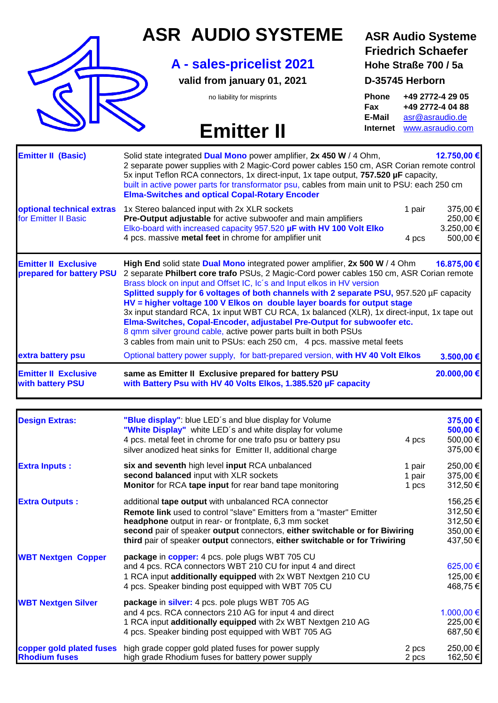

### **ASR AUDIO SYSTEME ASR Audio Systeme**

### **A - sales-pricelist 2021 Hohe Straße 700 / 5a**

**valid from january 01, 2021 D-35745 Herborn**

## **Emitter II Internet** [www.asraudio.com](http://www.asraudio.com/)

## **Friedrich Schaefer**

no liability for misprints **Phone +49 2772-4 29 05 Fax +49 2772-4 04 88 E-Mail** [asr@asraudio.de](mailto:asr@asraudio.de)

| <b>Emitter II Exclusive</b><br>with battery PSU         | same as Emitter II Exclusive prepared for battery PSU<br>with Battery Psu with HV 40 Volts Elkos, 1.385.520 µF capacity                                                                                                                                                                                                                                                                                                                                                                                                                                                                                                                                                                                                                           | 20.000,00 €                                    |
|---------------------------------------------------------|---------------------------------------------------------------------------------------------------------------------------------------------------------------------------------------------------------------------------------------------------------------------------------------------------------------------------------------------------------------------------------------------------------------------------------------------------------------------------------------------------------------------------------------------------------------------------------------------------------------------------------------------------------------------------------------------------------------------------------------------------|------------------------------------------------|
| extra battery psu                                       | Optional battery power supply, for batt-prepared version, with HV 40 Volt Elkos                                                                                                                                                                                                                                                                                                                                                                                                                                                                                                                                                                                                                                                                   | 3.500,00 €                                     |
| <b>Emitter II Exclusive</b><br>prepared for battery PSU | High End solid state Dual Mono integrated power amplifier, 2x 500 W / 4 Ohm<br>2 separate Philbert core trafo PSUs, 2 Magic-Cord power cables 150 cm, ASR Corian remote<br>Brass block on input and Offset IC, Ic's and Input elkos in HV version<br>Splitted supply for 6 voltages of both channels with 2 separate PSU, 957.520 µF capacity<br>HV = higher voltage 100 V Elkos on double layer boards for output stage<br>3x input standard RCA, 1x input WBT CU RCA, 1x balanced (XLR), 1x direct-input, 1x tape out<br>Elma-Switches, Copal-Encoder, adjustabel Pre-Output for subwoofer etc.<br>8 qmm silver ground cable, active power parts built in both PSUs<br>3 cables from main unit to PSUs: each 250 cm, 4 pcs. massive metal feets | 16.875,00 €                                    |
| optional technical extras<br>for Emitter II Basic       | 1x Stereo balanced input with 2x XLR sockets<br>1 pair<br>Pre-Output adjustable for active subwoofer and main amplifiers<br>Elko-board with increased capacity 957.520 µF with HV 100 Volt Elko<br>4 pcs. massive metal feet in chrome for amplifier unit<br>4 pcs                                                                                                                                                                                                                                                                                                                                                                                                                                                                                | 375,00 €<br>250,00 €<br>3.250,00 €<br>500,00 € |
| <b>Emitter II (Basic)</b>                               | Solid state integrated <b>Dual Mono</b> power amplifier, 2x 450 W / 4 Ohm,<br>2 separate power supplies with 2 Magic-Cord power cables 150 cm, ASR Corian remote control<br>5x input Teflon RCA connectors, 1x direct-input, 1x tape output, 757.520 µF capacity,<br>built in active power parts for transformator psu, cables from main unit to PSU: each 250 cm<br><b>Elma-Switches and optical Copal-Rotary Encoder</b>                                                                                                                                                                                                                                                                                                                        | 12.750,00 €                                    |

| <b>Design Extras:</b>                            | "Blue display": blue LED's and blue display for Volume<br>"White Display" white LED's and white display for volume<br>4 pcs. metal feet in chrome for one trafo psu or battery psu<br>silver anodized heat sinks for Emitter II, additional charge                                                                                                          | 4 pcs                     | 375,00 €<br>500,00 €<br>500,00 €<br>375,00 €             |
|--------------------------------------------------|-------------------------------------------------------------------------------------------------------------------------------------------------------------------------------------------------------------------------------------------------------------------------------------------------------------------------------------------------------------|---------------------------|----------------------------------------------------------|
| <b>Extra Inputs:</b>                             | six and seventh high level input RCA unbalanced<br>second balanced input with XLR sockets<br>Monitor for RCA tape input for rear band tape monitoring                                                                                                                                                                                                       | 1 pair<br>1 pair<br>1 pcs | 250,00 €<br>375,00 €<br>312,50 €                         |
| <b>Extra Outputs:</b>                            | additional tape output with unbalanced RCA connector<br><b>Remote link</b> used to control "slave" Emitters from a "master" Emitter<br>headphone output in rear- or frontplate, 6,3 mm socket<br>second pair of speaker output connectors, either switchable or for Biwiring<br>third pair of speaker output connectors, either switchable or for Triwiring |                           | 156,25 €<br>312,50 €<br>312,50 €<br>350,00 €<br>437,50 € |
| <b>WBT Nextgen Copper</b>                        | package in copper: 4 pcs. pole plugs WBT 705 CU<br>and 4 pcs. RCA connectors WBT 210 CU for input 4 and direct<br>1 RCA input additionally equipped with 2x WBT Nextgen 210 CU<br>4 pcs. Speaker binding post equipped with WBT 705 CU                                                                                                                      |                           | 625,00 €<br>125,00 €<br>468,75 €                         |
| <b>WBT Nextgen Silver</b>                        | package in silver: 4 pcs. pole plugs WBT 705 AG<br>and 4 pcs. RCA connectors 210 AG for input 4 and direct<br>1 RCA input additionally equipped with 2x WBT Nextgen 210 AG<br>4 pcs. Speaker binding post equipped with WBT 705 AG                                                                                                                          |                           | 1.000,00 €<br>225,00 €<br>687,50 €                       |
| copper gold plated fuses<br><b>Rhodium fuses</b> | high grade copper gold plated fuses for power supply<br>high grade Rhodium fuses for battery power supply                                                                                                                                                                                                                                                   | 2 pcs<br>2 pcs            | 250,00 €<br>162,50 €                                     |